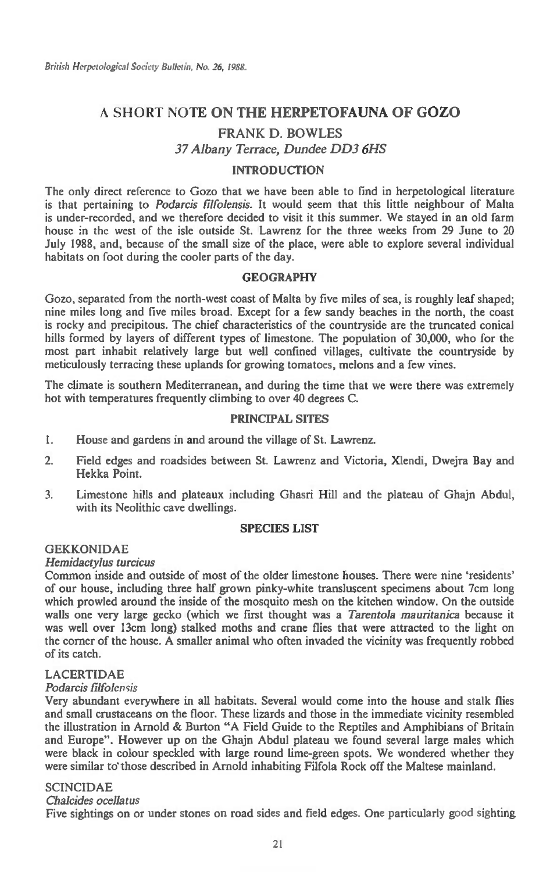# A SHORT NOTE **ON THE HERPETOFAUNA OF GOZO**

# FRANK D. BOWLES

37 *Albany Terrace, Dundee DD3 6HS* 

# **INTRODUCTION**

The only direct reference to Gozo that we have been able to find in herpetological literature is that pertaining to *Podarcis filfolensis.* It would seem that this little neighbour of Malta is under-recorded, and we therefore decided to visit it this summer. We stayed in an old farm house in the west of the isle outside St. Lawrenz for the three weeks from 29 June to 20 July 1988, and, because of the small size of the place, were able to explore several individual habitats on foot during the cooler parts of the day.

# **GEOGRAPHY**

Gozo, separated from the north-west coast of Malta by five miles of sea, is roughly leaf shaped; nine miles long and five miles broad. Except for a few sandy beaches in the north, the coast is rocky and precipitous. The chief characteristics of the countryside are the truncated conical hills formed by layers of different types of limestone. The population of 30,000, who for the most part inhabit relatively large but well confined villages, cultivate the countryside by meticulously terracing these uplands for growing tomatoes, melons and a few vines.

The climate is southern Mediterranean, and during the time that we were there was extremely hot with temperatures frequently climbing to over 40 degrees C.

## **PRINCIPAL SITES**

- 1. House and gardens in and around the village of St. Lawrenz.
- 2. Field edges and roadsides between St. Lawrenz and Victoria, Xlendi, Dwejra Bay and Hekka Point.
- 3. Limestone hills and plateaux including Ghasri Hill and the plateau of Ghajn Abdul, with its Neolithic cave dwellings.

# **SPECIES LIST**

#### **GEKKONIDAE**

#### *Hemidactylus turcicus*

Common inside and outside of most of the older limestone houses. There were nine 'residents' of our house, including three half grown pinky-white transluscent specimens about 7cm long which prowled around the inside of the mosquito mesh on the kitchen window. On the outside walls one very large gecko (which we first thought was a *Tarentola mauritanica* because it was well over 13cm long) stalked moths and crane flies that were attracted to the light on the corner of the house. A smaller animal who often invaded the vicinity was frequently robbed of its catch.

# LACERTIDAE

### *Podarcis filfolensis*

Very abundant everywhere in all habitats. Several would come into the house and stalk flies and small crustaceans on the floor. These lizards and those in the immediate vicinity resembled the illustration in Arnold & Burton "A Field Guide to the Reptiles and Amphibians of Britain and Europe". However up on the Ghajn Abdul plateau we found several large males which were black in colour speckled with large round lime-green spots. We wondered whether they were similar to those described in Arnold inhabiting Filfola Rock off the Maltese mainland.

#### SCINCIDAE

# *Chalcides ocellatus*

Five sightings on or under stones on road sides and field edges. One particularly good sighting